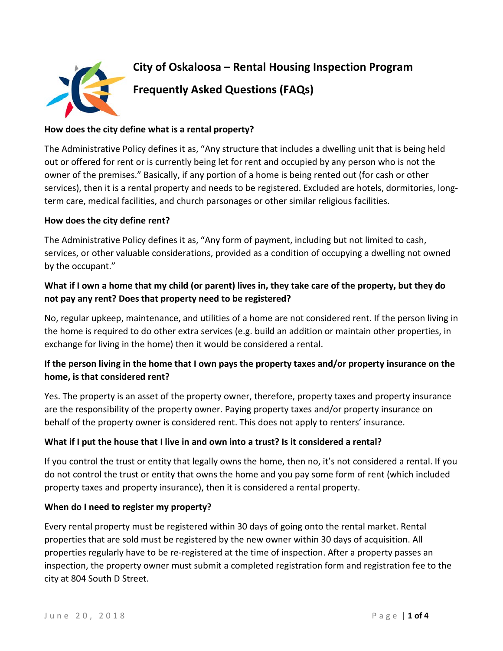

### **How does the city define what is a rental property?**

The Administrative Policy defines it as, "Any structure that includes a dwelling unit that is being held out or offered for rent or is currently being let for rent and occupied by any person who is not the owner of the premises." Basically, if any portion of a home is being rented out (for cash or other services), then it is a rental property and needs to be registered. Excluded are hotels, dormitories, longterm care, medical facilities, and church parsonages or other similar religious facilities.

### **How does the city define rent?**

The Administrative Policy defines it as, "Any form of payment, including but not limited to cash, services, or other valuable considerations, provided as a condition of occupying a dwelling not owned by the occupant."

# **What if I own a home that my child (or parent) lives in, they take care of the property, but they do not pay any rent? Does that property need to be registered?**

No, regular upkeep, maintenance, and utilities of a home are not considered rent. If the person living in the home is required to do other extra services (e.g. build an addition or maintain other properties, in exchange for living in the home) then it would be considered a rental.

# **If the person living in the home that I own pays the property taxes and/or property insurance on the home, is that considered rent?**

Yes. The property is an asset of the property owner, therefore, property taxes and property insurance are the responsibility of the property owner. Paying property taxes and/or property insurance on behalf of the property owner is considered rent. This does not apply to renters' insurance.

### **What if I put the house that I live in and own into a trust? Is it considered a rental?**

If you control the trust or entity that legally owns the home, then no, it's not considered a rental. If you do not control the trust or entity that owns the home and you pay some form of rent (which included property taxes and property insurance), then it is considered a rental property.

### **When do I need to register my property?**

Every rental property must be registered within 30 days of going onto the rental market. Rental properties that are sold must be registered by the new owner within 30 days of acquisition. All properties regularly have to be re-registered at the time of inspection. After a property passes an inspection, the property owner must submit a completed registration form and registration fee to the city at 804 South D Street.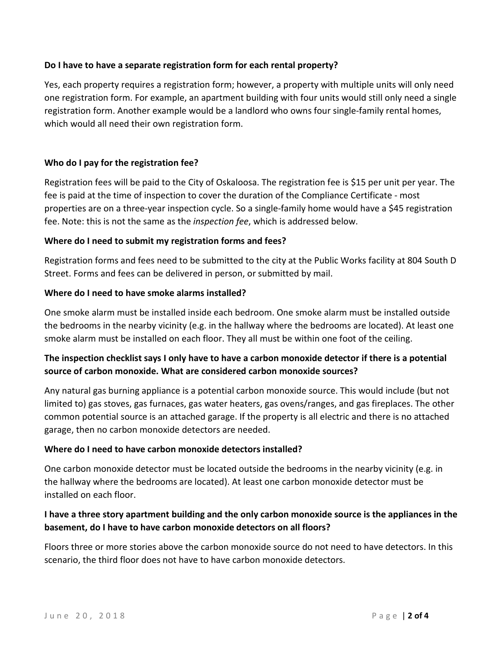### **Do I have to have a separate registration form for each rental property?**

Yes, each property requires a registration form; however, a property with multiple units will only need one registration form. For example, an apartment building with four units would still only need a single registration form. Another example would be a landlord who owns four single-family rental homes, which would all need their own registration form.

## **Who do I pay for the registration fee?**

Registration fees will be paid to the City of Oskaloosa. The registration fee is \$15 per unit per year. The fee is paid at the time of inspection to cover the duration of the Compliance Certificate - most properties are on a three-year inspection cycle. So a single-family home would have a \$45 registration fee. Note: this is not the same as the *inspection fee*, which is addressed below.

## **Where do I need to submit my registration forms and fees?**

Registration forms and fees need to be submitted to the city at the Public Works facility at 804 South D Street. Forms and fees can be delivered in person, or submitted by mail.

## **Where do I need to have smoke alarms installed?**

One smoke alarm must be installed inside each bedroom. One smoke alarm must be installed outside the bedrooms in the nearby vicinity (e.g. in the hallway where the bedrooms are located). At least one smoke alarm must be installed on each floor. They all must be within one foot of the ceiling.

# **The inspection checklist says I only have to have a carbon monoxide detector if there is a potential source of carbon monoxide. What are considered carbon monoxide sources?**

Any natural gas burning appliance is a potential carbon monoxide source. This would include (but not limited to) gas stoves, gas furnaces, gas water heaters, gas ovens/ranges, and gas fireplaces. The other common potential source is an attached garage. If the property is all electric and there is no attached garage, then no carbon monoxide detectors are needed.

### **Where do I need to have carbon monoxide detectors installed?**

One carbon monoxide detector must be located outside the bedrooms in the nearby vicinity (e.g. in the hallway where the bedrooms are located). At least one carbon monoxide detector must be installed on each floor.

# **I have a three story apartment building and the only carbon monoxide source is the appliances in the basement, do I have to have carbon monoxide detectors on all floors?**

Floors three or more stories above the carbon monoxide source do not need to have detectors. In this scenario, the third floor does not have to have carbon monoxide detectors.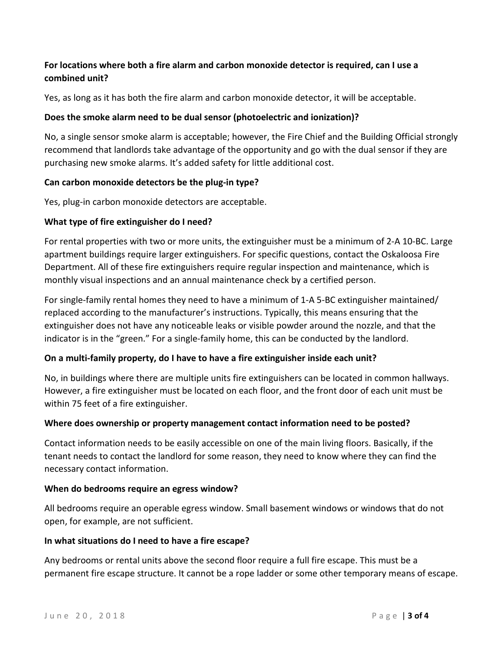# **For locations where both a fire alarm and carbon monoxide detector is required, can I use a combined unit?**

Yes, as long as it has both the fire alarm and carbon monoxide detector, it will be acceptable.

## **Does the smoke alarm need to be dual sensor (photoelectric and ionization)?**

No, a single sensor smoke alarm is acceptable; however, the Fire Chief and the Building Official strongly recommend that landlords take advantage of the opportunity and go with the dual sensor if they are purchasing new smoke alarms. It's added safety for little additional cost.

### **Can carbon monoxide detectors be the plug-in type?**

Yes, plug-in carbon monoxide detectors are acceptable.

## **What type of fire extinguisher do I need?**

For rental properties with two or more units, the extinguisher must be a minimum of 2-A 10-BC. Large apartment buildings require larger extinguishers. For specific questions, contact the Oskaloosa Fire Department. All of these fire extinguishers require regular inspection and maintenance, which is monthly visual inspections and an annual maintenance check by a certified person.

For single-family rental homes they need to have a minimum of 1-A 5-BC extinguisher maintained/ replaced according to the manufacturer's instructions. Typically, this means ensuring that the extinguisher does not have any noticeable leaks or visible powder around the nozzle, and that the indicator is in the "green." For a single-family home, this can be conducted by the landlord.

### **On a multi-family property, do I have to have a fire extinguisher inside each unit?**

No, in buildings where there are multiple units fire extinguishers can be located in common hallways. However, a fire extinguisher must be located on each floor, and the front door of each unit must be within 75 feet of a fire extinguisher.

### **Where does ownership or property management contact information need to be posted?**

Contact information needs to be easily accessible on one of the main living floors. Basically, if the tenant needs to contact the landlord for some reason, they need to know where they can find the necessary contact information.

### **When do bedrooms require an egress window?**

All bedrooms require an operable egress window. Small basement windows or windows that do not open, for example, are not sufficient.

## **In what situations do I need to have a fire escape?**

Any bedrooms or rental units above the second floor require a full fire escape. This must be a permanent fire escape structure. It cannot be a rope ladder or some other temporary means of escape.